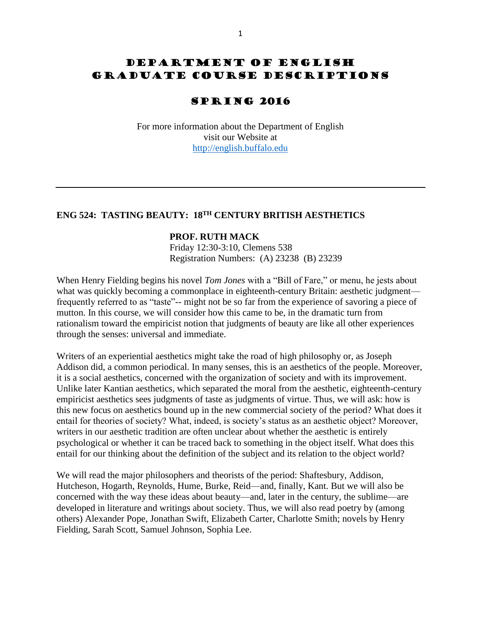# DEPARTMENT OF ENGLISH GRADUATE COURSE DESCRIPTIONS

# SPRING 2016

For more information about the Department of English visit our Website at [http://english.buffalo.edu](http://english.buffalo.edu/)

## **ENG 524: TASTING BEAUTY: 18TH CENTURY BRITISH AESTHETICS**

### **PROF. RUTH MACK**

Friday 12:30-3:10, Clemens 538 Registration Numbers: (A) 23238 (B) 23239

When Henry Fielding begins his novel *Tom Jones* with a "Bill of Fare," or menu, he jests about what was quickly becoming a commonplace in eighteenth-century Britain: aesthetic judgment frequently referred to as "taste"-- might not be so far from the experience of savoring a piece of mutton. In this course, we will consider how this came to be, in the dramatic turn from rationalism toward the empiricist notion that judgments of beauty are like all other experiences through the senses: universal and immediate.

Writers of an experiential aesthetics might take the road of high philosophy or, as Joseph Addison did, a common periodical. In many senses, this is an aesthetics of the people. Moreover, it is a social aesthetics, concerned with the organization of society and with its improvement. Unlike later Kantian aesthetics, which separated the moral from the aesthetic, eighteenth-century empiricist aesthetics sees judgments of taste as judgments of virtue. Thus, we will ask: how is this new focus on aesthetics bound up in the new commercial society of the period? What does it entail for theories of society? What, indeed, is society's status as an aesthetic object? Moreover, writers in our aesthetic tradition are often unclear about whether the aesthetic is entirely psychological or whether it can be traced back to something in the object itself. What does this entail for our thinking about the definition of the subject and its relation to the object world?

We will read the major philosophers and theorists of the period: Shaftesbury, Addison, Hutcheson, Hogarth, Reynolds, Hume, Burke, Reid—and, finally, Kant. But we will also be concerned with the way these ideas about beauty—and, later in the century, the sublime—are developed in literature and writings about society. Thus, we will also read poetry by (among others) Alexander Pope, Jonathan Swift, Elizabeth Carter, Charlotte Smith; novels by Henry Fielding, Sarah Scott, Samuel Johnson, Sophia Lee.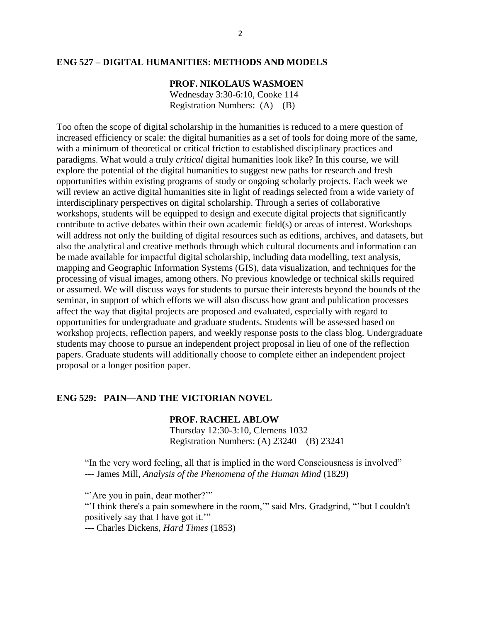### **ENG 527 – DIGITAL HUMANITIES: METHODS AND MODELS**

## **PROF. NIKOLAUS WASMOEN**

Wednesday 3:30-6:10, Cooke 114 Registration Numbers: (A) (B)

Too often the scope of digital scholarship in the humanities is reduced to a mere question of increased efficiency or scale: the digital humanities as a set of tools for doing more of the same, with a minimum of theoretical or critical friction to established disciplinary practices and paradigms. What would a truly *critical* digital humanities look like? In this course, we will explore the potential of the digital humanities to suggest new paths for research and fresh opportunities within existing programs of study or ongoing scholarly projects. Each week we will review an active digital humanities site in light of readings selected from a wide variety of interdisciplinary perspectives on digital scholarship. Through a series of collaborative workshops, students will be equipped to design and execute digital projects that significantly contribute to active debates within their own academic field(s) or areas of interest. Workshops will address not only the building of digital resources such as editions, archives, and datasets, but also the analytical and creative methods through which cultural documents and information can be made available for impactful digital scholarship, including data modelling, text analysis, mapping and Geographic Information Systems (GIS), data visualization, and techniques for the processing of visual images, among others. No previous knowledge or technical skills required or assumed. We will discuss ways for students to pursue their interests beyond the bounds of the seminar, in support of which efforts we will also discuss how grant and publication processes affect the way that digital projects are proposed and evaluated, especially with regard to opportunities for undergraduate and graduate students. Students will be assessed based on workshop projects, reflection papers, and weekly response posts to the class blog. Undergraduate students may choose to pursue an independent project proposal in lieu of one of the reflection papers. Graduate students will additionally choose to complete either an independent project proposal or a longer position paper.

## **ENG 529: PAIN—AND THE VICTORIAN NOVEL**

### **PROF. RACHEL ABLOW**

Thursday 12:30-3:10, Clemens 1032 Registration Numbers: (A) 23240 (B) 23241

"In the very word feeling, all that is implied in the word Consciousness is involved" --- James Mill, *Analysis of the Phenomena of the Human Mind* (1829)

"'Are you in pain, dear mother?"

"'I think there's a pain somewhere in the room,'" said Mrs. Gradgrind, "'but I couldn't positively say that I have got it.'"

--- Charles Dickens, *Hard Times* (1853)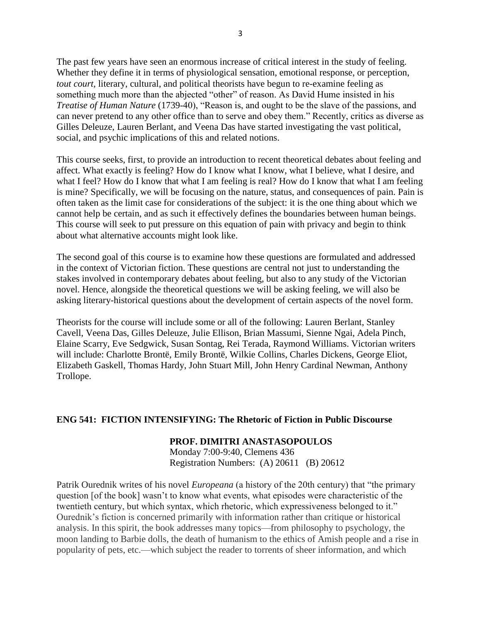The past few years have seen an enormous increase of critical interest in the study of feeling. Whether they define it in terms of physiological sensation, emotional response, or perception, *tout court*, literary, cultural, and political theorists have begun to re-examine feeling as something much more than the abjected "other" of reason. As David Hume insisted in his *Treatise of Human Nature* (1739-40), "Reason is, and ought to be the slave of the passions, and can never pretend to any other office than to serve and obey them." Recently, critics as diverse as Gilles Deleuze, Lauren Berlant, and Veena Das have started investigating the vast political, social, and psychic implications of this and related notions.

This course seeks, first, to provide an introduction to recent theoretical debates about feeling and affect. What exactly is feeling? How do I know what I know, what I believe, what I desire, and what I feel? How do I know that what I am feeling is real? How do I know that what I am feeling is mine? Specifically, we will be focusing on the nature, status, and consequences of pain. Pain is often taken as the limit case for considerations of the subject: it is the one thing about which we cannot help be certain, and as such it effectively defines the boundaries between human beings. This course will seek to put pressure on this equation of pain with privacy and begin to think about what alternative accounts might look like.

The second goal of this course is to examine how these questions are formulated and addressed in the context of Victorian fiction. These questions are central not just to understanding the stakes involved in contemporary debates about feeling, but also to any study of the Victorian novel. Hence, alongside the theoretical questions we will be asking feeling, we will also be asking literary-historical questions about the development of certain aspects of the novel form.

Theorists for the course will include some or all of the following: Lauren Berlant, Stanley Cavell, Veena Das, Gilles Deleuze, Julie Ellison, Brian Massumi, Sienne Ngai, Adela Pinch, Elaine Scarry, Eve Sedgwick, Susan Sontag, Rei Terada, Raymond Williams. Victorian writers will include: Charlotte Brontë, Emily Brontë, Wilkie Collins, Charles Dickens, George Eliot, Elizabeth Gaskell, Thomas Hardy, John Stuart Mill, John Henry Cardinal Newman, Anthony Trollope.

## **ENG 541: FICTION INTENSIFYING: The Rhetoric of Fiction in Public Discourse**

## **PROF. DIMITRI ANASTASOPOULOS**

Monday 7:00-9:40, Clemens 436 Registration Numbers: (A) 20611 (B) 20612

Patrik Ourednik writes of his novel *Europeana* (a history of the 20th century) that "the primary question [of the book] wasn't to know what events, what episodes were characteristic of the twentieth century, but which syntax, which rhetoric, which expressiveness belonged to it." Ourednik's fiction is concerned primarily with information rather than critique or historical analysis. In this spirit, the book addresses many topics—from philosophy to psychology, the moon landing to Barbie dolls, the death of humanism to the ethics of Amish people and a rise in popularity of pets, etc.—which subject the reader to torrents of sheer information, and which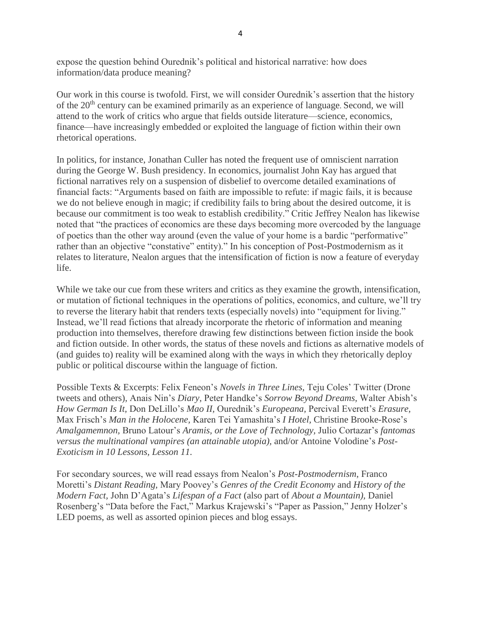expose the question behind Ourednik's political and historical narrative: how does information/data produce meaning?

Our work in this course is twofold. First, we will consider Ourednik's assertion that the history of the 20<sup>th</sup> century can be examined primarily as an experience of language. Second, we will attend to the work of critics who argue that fields outside literature—science, economics, finance—have increasingly embedded or exploited the language of fiction within their own rhetorical operations.

In politics, for instance, Jonathan Culler has noted the frequent use of omniscient narration during the George W. Bush presidency. In economics, journalist John Kay has argued that fictional narratives rely on a suspension of disbelief to overcome detailed examinations of financial facts: "Arguments based on faith are impossible to refute: if magic fails, it is because we do not believe enough in magic; if credibility fails to bring about the desired outcome, it is because our commitment is too weak to establish credibility." Critic Jeffrey Nealon has likewise noted that "the practices of economics are these days becoming more overcoded by the language of poetics than the other way around (even the value of your home is a bardic "performative" rather than an objective "constative" entity)." In his conception of Post-Postmodernism as it relates to literature, Nealon argues that the intensification of fiction is now a feature of everyday life.

While we take our cue from these writers and critics as they examine the growth, intensification, or mutation of fictional techniques in the operations of politics, economics, and culture, we'll try to reverse the literary habit that renders texts (especially novels) into "equipment for living." Instead, we'll read fictions that already incorporate the rhetoric of information and meaning production into themselves, therefore drawing few distinctions between fiction inside the book and fiction outside. In other words, the status of these novels and fictions as alternative models of (and guides to) reality will be examined along with the ways in which they rhetorically deploy public or political discourse within the language of fiction.

Possible Texts & Excerpts: Felix Feneon's *Novels in Three Lines,* Teju Coles' Twitter (Drone tweets and others)*,* Anais Nin's *Diary,* Peter Handke's *Sorrow Beyond Dreams,* Walter Abish's *How German Is It,* Don DeLillo's *Mao II,* Ourednik's *Europeana,* Percival Everett's *Erasure,*  Max Frisch's *Man in the Holocene,* Karen Tei Yamashita's *I Hotel,* Christine Brooke-Rose's *Amalgamemnon,* Bruno Latour's *Aramis, or the Love of Technology,* Julio Cortazar's *fantomas versus the multinational vampires (an attainable utopia),* and/or Antoine Volodine's *Post-Exoticism in 10 Lessons, Lesson 11.*

For secondary sources, we will read essays from Nealon's *Post-Postmodernism*, Franco Moretti's *Distant Reading,* Mary Poovey's *Genres of the Credit Economy* and *History of the Modern Fact,* John D'Agata's *Lifespan of a Fact* (also part of *About a Mountain),* Daniel Rosenberg's "Data before the Fact," Markus Krajewski's "Paper as Passion," Jenny Holzer's LED poems, as well as assorted opinion pieces and blog essays.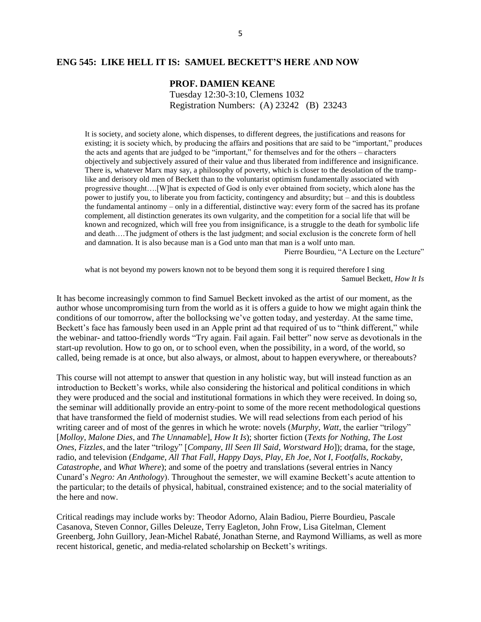### **ENG 545: LIKE HELL IT IS: SAMUEL BECKETT'S HERE AND NOW**

### **PROF. DAMIEN KEANE**

Tuesday 12:30-3:10, Clemens 1032 Registration Numbers: (A) 23242 (B) 23243

It is society, and society alone, which dispenses, to different degrees, the justifications and reasons for existing; it is society which, by producing the affairs and positions that are said to be "important," produces the acts and agents that are judged to be "important," for themselves and for the others – characters objectively and subjectively assured of their value and thus liberated from indifference and insignificance. There is, whatever Marx may say, a philosophy of poverty, which is closer to the desolation of the tramplike and derisory old men of Beckett than to the voluntarist optimism fundamentally associated with progressive thought….[W]hat is expected of God is only ever obtained from society, which alone has the power to justify you, to liberate you from facticity, contingency and absurdity; but – and this is doubtless the fundamental antinomy – only in a differential, distinctive way: every form of the sacred has its profane complement, all distinction generates its own vulgarity, and the competition for a social life that will be known and recognized, which will free you from insignificance, is a struggle to the death for symbolic life and death….The judgment of others is the last judgment; and social exclusion is the concrete form of hell and damnation. It is also because man is a God unto man that man is a wolf unto man.

Pierre Bourdieu, "A Lecture on the Lecture"

what is not beyond my powers known not to be beyond them song it is required therefore I sing Samuel Beckett, *How It Is*

It has become increasingly common to find Samuel Beckett invoked as the artist of our moment, as the author whose uncompromising turn from the world as it is offers a guide to how we might again think the conditions of our tomorrow, after the bollocksing we've gotten today, and yesterday. At the same time, Beckett's face has famously been used in an Apple print ad that required of us to "think different," while the webinar- and tattoo-friendly words "Try again. Fail again. Fail better" now serve as devotionals in the start-up revolution. How to go on, or to school even, when the possibility, in a word, of the world, so called, being remade is at once, but also always, or almost, about to happen everywhere, or thereabouts?

This course will not attempt to answer that question in any holistic way, but will instead function as an introduction to Beckett's works, while also considering the historical and political conditions in which they were produced and the social and institutional formations in which they were received. In doing so, the seminar will additionally provide an entry-point to some of the more recent methodological questions that have transformed the field of modernist studies. We will read selections from each period of his writing career and of most of the genres in which he wrote: novels (*Murphy*, *Watt*, the earlier "trilogy" [*Molloy*, *Malone Dies*, and *The Unnamable*], *How It Is*); shorter fiction (*Texts for Nothing*, *The Lost Ones*, *Fizzles*, and the later "trilogy" [*Company*, *Ill Seen Ill Said*, *Worstward Ho*]); drama, for the stage, radio, and television (*Endgame*, *All That Fall*, *Happy Days*, *Play*, *Eh Joe*, *Not I*, *Footfalls*, *Rockaby*, *Catastrophe*, and *What Where*); and some of the poetry and translations (several entries in Nancy Cunard's *Negro: An Anthology*). Throughout the semester, we will examine Beckett's acute attention to the particular; to the details of physical, habitual, constrained existence; and to the social materiality of the here and now.

Critical readings may include works by: Theodor Adorno, Alain Badiou, Pierre Bourdieu, Pascale Casanova, Steven Connor, Gilles Deleuze, Terry Eagleton, John Frow, Lisa Gitelman, Clement Greenberg, John Guillory, Jean-Michel Rabaté, Jonathan Sterne, and Raymond Williams, as well as more recent historical, genetic, and media-related scholarship on Beckett's writings.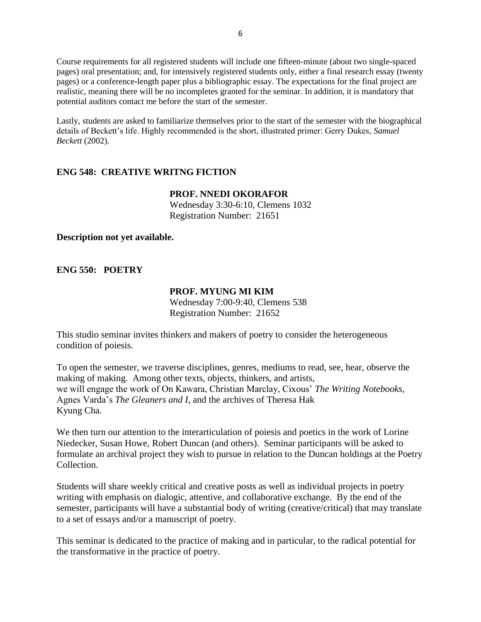Course requirements for all registered students will include one fifteen-minute (about two single-spaced pages) oral presentation; and, for intensively registered students only, either a final research essay (twenty pages) or a conference-length paper plus a bibliographic essay. The expectations for the final project are realistic, meaning there will be no incompletes granted for the seminar. In addition, it is mandatory that potential auditors contact me before the start of the semester.

Lastly, students are asked to familiarize themselves prior to the start of the semester with the biographical details of Beckett's life. Highly recommended is the short, illustrated primer: Gerry Dukes, *Samuel Beckett* (2002).

## **ENG 548: CREATIVE WRITNG FICTION**

### **PROF. NNEDI OKORAFOR** Wednesday 3:30-6:10, Clemens 1032 Registration Number: 21651

### **Description not yet available.**

## **ENG 550: POETRY**

### **PROF. MYUNG MI KIM**

Wednesday 7:00-9:40, Clemens 538 Registration Number: 21652

This studio seminar invites thinkers and makers of poetry to consider the heterogeneous condition of poiesis.

To open the semester, we traverse disciplines, genres, mediums to read, see, hear, observe the making of making. Among other texts, objects, thinkers, and artists, we will engage the work of On Kawara, Christian Marclay, Cixous' *The Writing Notebooks*, Agnes Varda's *The Gleaners and I*, and the archives of Theresa Hak Kyung Cha.

We then turn our attention to the interarticulation of poiesis and poetics in the work of Lorine Niedecker, Susan Howe, Robert Duncan (and others). Seminar participants will be asked to formulate an archival project they wish to pursue in relation to the Duncan holdings at the Poetry Collection.

Students will share weekly critical and creative posts as well as individual projects in poetry writing with emphasis on dialogic, attentive, and collaborative exchange. By the end of the semester, participants will have a substantial body of writing (creative/critical) that may translate to a set of essays and/or a manuscript of poetry.

This seminar is dedicated to the practice of making and in particular, to the radical potential for the transformative in the practice of poetry.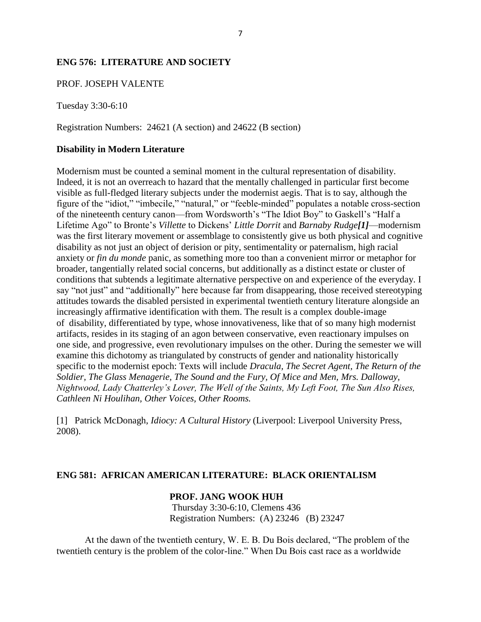## **ENG 576: LITERATURE AND SOCIETY**

### PROF. JOSEPH VALENTE

Tuesday 3:30-6:10

Registration Numbers: 24621 (A section) and 24622 (B section)

### **Disability in Modern Literature**

Modernism must be counted a seminal moment in the cultural representation of disability. Indeed, it is not an overreach to hazard that the mentally challenged in particular first become visible as full-fledged literary subjects under the modernist aegis. That is to say, although the figure of the "idiot," "imbecile," "natural," or "feeble-minded" populates a notable cross-section of the nineteenth century canon—from Wordsworth's "The Idiot Boy" to Gaskell's "Half a Lifetime Ago" to Bronte's *Villette* to Dickens' *Little Dorrit* and *Barnaby Rudge[1]*—modernism was the first literary movement or assemblage to consistently give us both physical and cognitive disability as not just an object of derision or pity, sentimentality or paternalism, high racial anxiety or *fin du monde* panic, as something more too than a convenient mirror or metaphor for broader, tangentially related social concerns, but additionally as a distinct estate or cluster of conditions that subtends a legitimate alternative perspective on and experience of the everyday. I say "not just" and "additionally" here because far from disappearing, those received stereotyping attitudes towards the disabled persisted in experimental twentieth century literature alongside an increasingly affirmative identification with them. The result is a complex double-image of disability, differentiated by type, whose innovativeness, like that of so many high modernist artifacts, resides in its staging of an agon between conservative, even reactionary impulses on one side, and progressive, even revolutionary impulses on the other. During the semester we will examine this dichotomy as triangulated by constructs of gender and nationality historically specific to the modernist epoch: Texts will include *Dracula, The Secret Agent, The Return of the Soldier, The Glass Menagerie, The Sound and the Fury, Of Mice and Men, Mrs. Dalloway, Nightwood, Lady Chatterley's Lover, The Well of the Saints, My Left Foot, The Sun Also Rises, Cathleen Ni Houlihan, Other Voices, Other Rooms.*

[1] Patrick McDonagh, *Idiocy: A Cultural History* (Liverpool: Liverpool University Press, 2008).

### **ENG 581: AFRICAN AMERICAN LITERATURE: BLACK ORIENTALISM**

## **PROF. JANG WOOK HUH**

Thursday 3:30-6:10, Clemens 436 Registration Numbers: (A) 23246 (B) 23247

At the dawn of the twentieth century, W. E. B. Du Bois declared, "The problem of the twentieth century is the problem of the color-line." When Du Bois cast race as a worldwide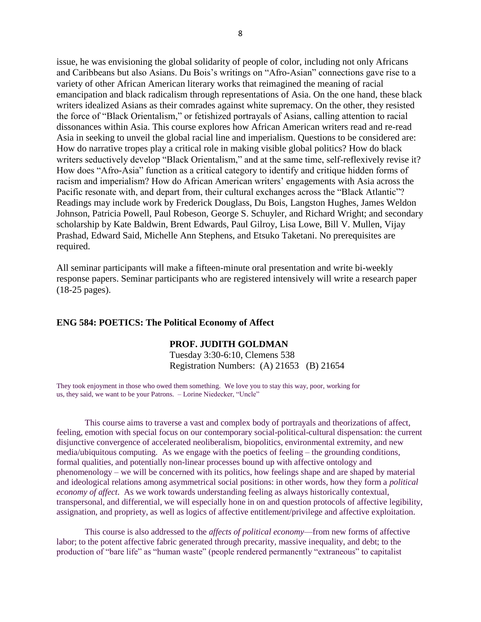issue, he was envisioning the global solidarity of people of color, including not only Africans and Caribbeans but also Asians. Du Bois's writings on "Afro-Asian" connections gave rise to a variety of other African American literary works that reimagined the meaning of racial emancipation and black radicalism through representations of Asia. On the one hand, these black writers idealized Asians as their comrades against white supremacy. On the other, they resisted the force of "Black Orientalism," or fetishized portrayals of Asians, calling attention to racial dissonances within Asia. This course explores how African American writers read and re-read Asia in seeking to unveil the global racial line and imperialism. Questions to be considered are: How do narrative tropes play a critical role in making visible global politics? How do black writers seductively develop "Black Orientalism," and at the same time, self-reflexively revise it? How does "Afro-Asia" function as a critical category to identify and critique hidden forms of racism and imperialism? How do African American writers' engagements with Asia across the Pacific resonate with, and depart from, their cultural exchanges across the "Black Atlantic"? Readings may include work by Frederick Douglass, Du Bois, Langston Hughes, James Weldon Johnson, Patricia Powell, Paul Robeson, George S. Schuyler, and Richard Wright; and secondary scholarship by Kate Baldwin, Brent Edwards, Paul Gilroy, Lisa Lowe, Bill V. Mullen, Vijay Prashad, Edward Said, Michelle Ann Stephens, and Etsuko Taketani. No prerequisites are required.

All seminar participants will make a fifteen-minute oral presentation and write bi-weekly response papers. Seminar participants who are registered intensively will write a research paper (18-25 pages).

#### **ENG 584: POETICS: The Political Economy of Affect**

### **PROF. JUDITH GOLDMAN**

Tuesday 3:30-6:10, Clemens 538 Registration Numbers: (A) 21653 (B) 21654

They took enjoyment in those who owed them something. We love you to stay this way, poor, working for us, they said, we want to be your Patrons. – Lorine Niedecker, "Uncle"

This course aims to traverse a vast and complex body of portrayals and theorizations of affect, feeling, emotion with special focus on our contemporary social-political-cultural dispensation: the current disjunctive convergence of accelerated neoliberalism, biopolitics, environmental extremity, and new media/ubiquitous computing. As we engage with the poetics of feeling – the grounding conditions, formal qualities, and potentially non-linear processes bound up with affective ontology and phenomenology – we will be concerned with its politics, how feelings shape and are shaped by material and ideological relations among asymmetrical social positions: in other words, how they form a *political economy of affect*. As we work towards understanding feeling as always historically contextual, transpersonal, and differential, we will especially hone in on and question protocols of affective legibility, assignation, and propriety, as well as logics of affective entitlement/privilege and affective exploitation.

This course is also addressed to the *affects of political economy*—from new forms of affective labor; to the potent affective fabric generated through precarity, massive inequality, and debt; to the production of "bare life" as "human waste" (people rendered permanently "extraneous" to capitalist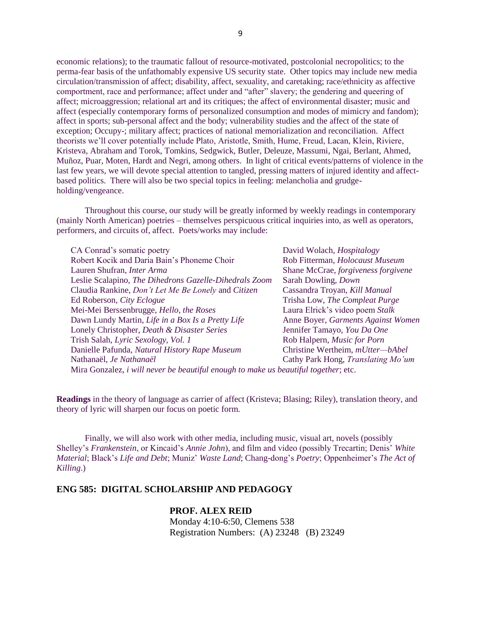economic relations); to the traumatic fallout of resource-motivated, postcolonial necropolitics; to the perma-fear basis of the unfathomably expensive US security state. Other topics may include new media circulation/transmission of affect; disability, affect, sexuality, and caretaking; race/ethnicity as affective comportment, race and performance; affect under and "after" slavery; the gendering and queering of affect; microaggression; relational art and its critiques; the affect of environmental disaster; music and affect (especially contemporary forms of personalized consumption and modes of mimicry and fandom); affect in sports; sub-personal affect and the body; vulnerability studies and the affect of the state of exception; Occupy-; military affect; practices of national memorialization and reconciliation. Affect theorists we'll cover potentially include Plato, Aristotle, Smith, Hume, Freud, Lacan, Klein, Riviere, Kristeva, Abraham and Torok, Tomkins, Sedgwick, Butler, Deleuze, Massumi, Ngai, Berlant, Ahmed, Muñoz, Puar, Moten, Hardt and Negri, among others. In light of critical events/patterns of violence in the last few years, we will devote special attention to tangled, pressing matters of injured identity and affectbased politics. There will also be two special topics in feeling: melancholia and grudgeholding/vengeance.

Throughout this course, our study will be greatly informed by weekly readings in contemporary (mainly North American) poetries – themselves perspicuous critical inquiries into, as well as operators, performers, and circuits of, affect. Poets/works may include:

| CA Conrad's somatic poetry                                                                  | David Wolach, <i>Hospitalogy</i>    |
|---------------------------------------------------------------------------------------------|-------------------------------------|
| Robert Kocik and Daria Bain's Phoneme Choir                                                 | Rob Fitterman, Holocaust Museum     |
| Lauren Shufran, Inter Arma                                                                  | Shane McCrae, forgiveness forgivene |
| Leslie Scalapino, The Dihedrons Gazelle-Dihedrals Zoom                                      | Sarah Dowling, Down                 |
| Claudia Rankine, Don't Let Me Be Lonely and Citizen                                         | Cassandra Troyan, Kill Manual       |
| Ed Roberson, City Eclogue                                                                   | Trisha Low, The Compleat Purge      |
| Mei-Mei Berssenbrugge, Hello, the Roses                                                     | Laura Elrick's video poem Stalk     |
| Dawn Lundy Martin, Life in a Box Is a Pretty Life                                           | Anne Boyer, Garments Against Women  |
| Lonely Christopher, Death & Disaster Series                                                 | Jennifer Tamayo, You Da One         |
| Trish Salah, Lyric Sexology, Vol. 1                                                         | Rob Halpern, Music for Porn         |
| Danielle Pafunda, Natural History Rape Museum                                               | Christine Wertheim, mUtter-bAbel    |
| Nathanaël, Je Nathanaël                                                                     | Cathy Park Hong, Translating Mo'um  |
| Mira Gonzalez, <i>i will never be beautiful enough to make us beautiful together</i> ; etc. |                                     |

**Readings** in the theory of language as carrier of affect (Kristeva; Blasing; Riley), translation theory, and theory of lyric will sharpen our focus on poetic form.

Finally, we will also work with other media, including music, visual art, novels (possibly Shelley's *Frankenstein*, or Kincaid's *Annie John*), and film and video (possibly Trecartin; Denis' *White Material*; Black's *Life and Debt*; Muniz' *Waste Land*; Chang-dong's *Poetry*; Oppenheimer's *The Act of Killing*.)

### **ENG 585: DIGITAL SCHOLARSHIP AND PEDAGOGY**

### **PROF. ALEX REID**

Monday 4:10-6:50, Clemens 538 Registration Numbers: (A) 23248 (B) 23249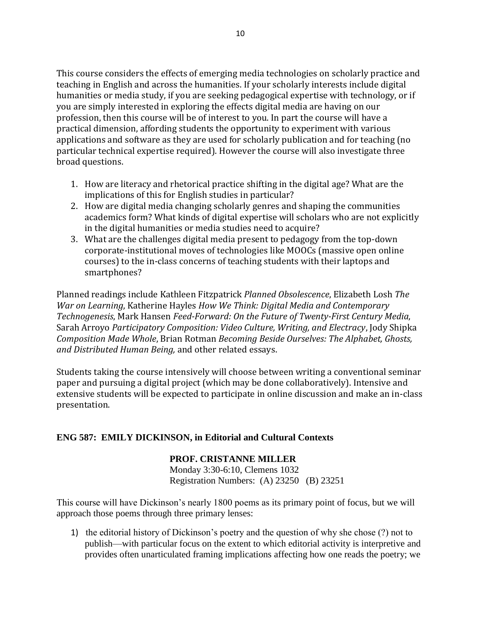This course considers the effects of emerging media technologies on scholarly practice and teaching in English and across the humanities. If your scholarly interests include digital humanities or media study, if you are seeking pedagogical expertise with technology, or if you are simply interested in exploring the effects digital media are having on our profession, then this course will be of interest to you. In part the course will have a practical dimension, affording students the opportunity to experiment with various applications and software as they are used for scholarly publication and for teaching (no particular technical expertise required). However the course will also investigate three broad questions.

- 1. How are literacy and rhetorical practice shifting in the digital age? What are the implications of this for English studies in particular?
- 2. How are digital media changing scholarly genres and shaping the communities academics form? What kinds of digital expertise will scholars who are not explicitly in the digital humanities or media studies need to acquire?
- 3. What are the challenges digital media present to pedagogy from the top-down corporate-institutional moves of technologies like MOOCs (massive open online courses) to the in-class concerns of teaching students with their laptops and smartphones?

Planned readings include Kathleen Fitzpatrick *Planned Obsolescence*, Elizabeth Losh *The War on Learning*, Katherine Hayles *How We Think: Digital Media and Contemporary Technogenesis*, Mark Hansen *Feed-Forward: On the Future of Twenty-First Century Media*, Sarah Arroyo *Participatory Composition: Video Culture, Writing, and Electracy*, Jody Shipka *Composition Made Whole*, Brian Rotman *Becoming Beside Ourselves: The Alphabet, Ghosts, and Distributed Human Being,* and other related essays.

Students taking the course intensively will choose between writing a conventional seminar paper and pursuing a digital project (which may be done collaboratively). Intensive and extensive students will be expected to participate in online discussion and make an in-class presentation.

## **ENG 587: EMILY DICKINSON, in Editorial and Cultural Contexts**

## **PROF. CRISTANNE MILLER**

Monday 3:30-6:10, Clemens 1032 Registration Numbers: (A) 23250 (B) 23251

This course will have Dickinson's nearly 1800 poems as its primary point of focus, but we will approach those poems through three primary lenses:

1) the editorial history of Dickinson's poetry and the question of why she chose (?) not to publish—with particular focus on the extent to which editorial activity is interpretive and provides often unarticulated framing implications affecting how one reads the poetry; we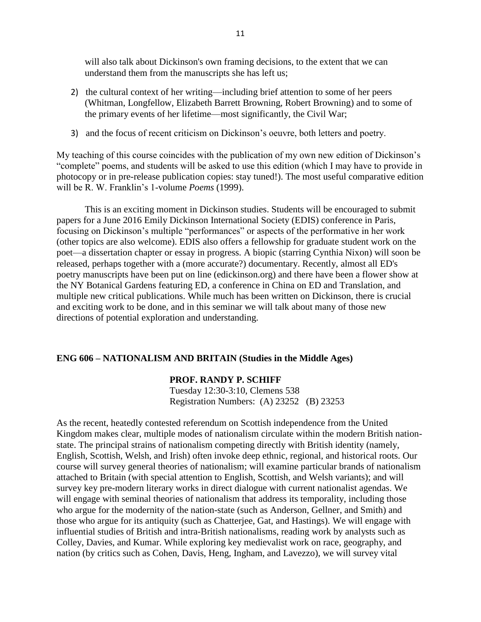will also talk about Dickinson's own framing decisions, to the extent that we can understand them from the manuscripts she has left us;

- 2) the cultural context of her writing—including brief attention to some of her peers (Whitman, Longfellow, Elizabeth Barrett Browning, Robert Browning) and to some of the primary events of her lifetime—most significantly, the Civil War;
- 3) and the focus of recent criticism on Dickinson's oeuvre, both letters and poetry.

My teaching of this course coincides with the publication of my own new edition of Dickinson's "complete" poems, and students will be asked to use this edition (which I may have to provide in photocopy or in pre-release publication copies: stay tuned!). The most useful comparative edition will be R. W. Franklin's 1-volume *Poems* (1999).

This is an exciting moment in Dickinson studies. Students will be encouraged to submit papers for a June 2016 Emily Dickinson International Society (EDIS) conference in Paris, focusing on Dickinson's multiple "performances" or aspects of the performative in her work (other topics are also welcome). EDIS also offers a fellowship for graduate student work on the poet—a dissertation chapter or essay in progress. A biopic (starring Cynthia Nixon) will soon be released, perhaps together with a (more accurate?) documentary. Recently, almost all ED's poetry manuscripts have been put on line (edickinson.org) and there have been a flower show at the NY Botanical Gardens featuring ED, a conference in China on ED and Translation, and multiple new critical publications. While much has been written on Dickinson, there is crucial and exciting work to be done, and in this seminar we will talk about many of those new directions of potential exploration and understanding.

## **ENG 606 – NATIONALISM AND BRITAIN (Studies in the Middle Ages)**

### **PROF. RANDY P. SCHIFF**

Tuesday 12:30-3:10, Clemens 538 Registration Numbers: (A) 23252 (B) 23253

As the recent, heatedly contested referendum on Scottish independence from the United Kingdom makes clear, multiple modes of nationalism circulate within the modern British nationstate. The principal strains of nationalism competing directly with British identity (namely, English, Scottish, Welsh, and Irish) often invoke deep ethnic, regional, and historical roots. Our course will survey general theories of nationalism; will examine particular brands of nationalism attached to Britain (with special attention to English, Scottish, and Welsh variants); and will survey key pre-modern literary works in direct dialogue with current nationalist agendas. We will engage with seminal theories of nationalism that address its temporality, including those who argue for the modernity of the nation-state (such as Anderson, Gellner, and Smith) and those who argue for its antiquity (such as Chatterjee, Gat, and Hastings). We will engage with influential studies of British and intra-British nationalisms, reading work by analysts such as Colley, Davies, and Kumar. While exploring key medievalist work on race, geography, and nation (by critics such as Cohen, Davis, Heng, Ingham, and Lavezzo), we will survey vital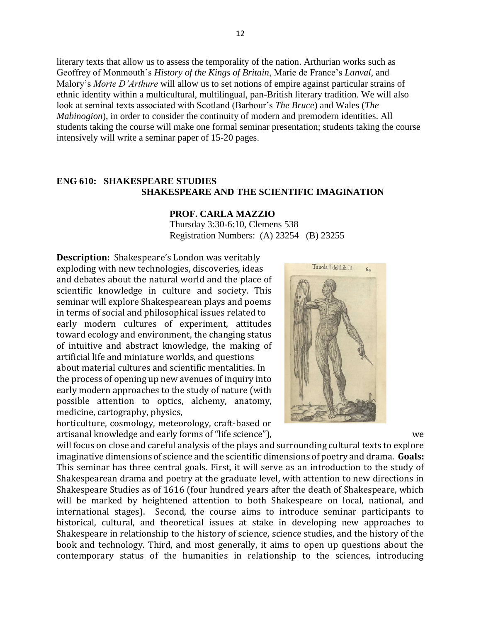literary texts that allow us to assess the temporality of the nation. Arthurian works such as Geoffrey of Monmouth's *History of the Kings of Britain*, Marie de France's *Lanval*, and Malory's *Morte D'Arthure* will allow us to set notions of empire against particular strains of ethnic identity within a multicultural, multilingual, pan-British literary tradition. We will also look at seminal texts associated with Scotland (Barbour's *The Bruce*) and Wales (*The Mabinogion*), in order to consider the continuity of modern and premodern identities. All students taking the course will make one formal seminar presentation; students taking the course intensively will write a seminar paper of 15-20 pages.

## **ENG 610: SHAKESPEARE STUDIES SHAKESPEARE AND THE SCIENTIFIC IMAGINATION**

#### **PROF. CARLA MAZZIO**

Thursday 3:30-6:10, Clemens 538 Registration Numbers: (A) 23254 (B) 23255

**Description:** Shakespeare's London was veritably exploding with new technologies, discoveries, ideas and debates about the natural world and the place of scientific knowledge in culture and society. This seminar will explore Shakespearean plays and poems in terms of social and philosophical issues related to early modern cultures of experiment, attitudes toward ecology and environment, the changing status of intuitive and abstract knowledge, the making of artificial life and miniature worlds, and questions about material cultures and scientific mentalities. In the process of opening up new avenues of inquiry into early modern approaches to the study of nature (with possible attention to optics, alchemy, anatomy, medicine, cartography, physics,

horticulture, cosmology, meteorology, craft-based or artisanal knowledge and early forms of "life science"), we



will focus on close and careful analysis of the plays and surrounding cultural texts to explore imaginative dimensions of science and the scientific dimensions of poetry and drama. **Goals:** This seminar has three central goals. First, it will serve as an introduction to the study of Shakespearean drama and poetry at the graduate level, with attention to new directions in Shakespeare Studies as of 1616 (four hundred years after the death of Shakespeare, which will be marked by heightened attention to both Shakespeare on local, national, and international stages). Second, the course aims to introduce seminar participants to historical, cultural, and theoretical issues at stake in developing new approaches to Shakespeare in relationship to the history of science, science studies, and the history of the book and technology. Third, and most generally, it aims to open up questions about the contemporary status of the humanities in relationship to the sciences, introducing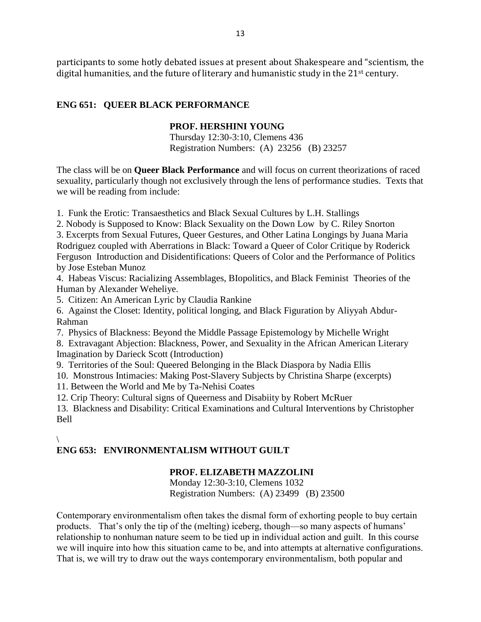participants to some hotly debated issues at present about Shakespeare and "scientism, the digital humanities, and the future of literary and humanistic study in the 21<sup>st</sup> century.

## **ENG 651: QUEER BLACK PERFORMANCE**

## **PROF. HERSHINI YOUNG**

Thursday 12:30-3:10, Clemens 436 Registration Numbers: (A) 23256 (B) 23257

The class will be on **Queer Black Performance** and will focus on current theorizations of raced sexuality, particularly though not exclusively through the lens of performance studies. Texts that we will be reading from include:

1. Funk the Erotic: Transaesthetics and Black Sexual Cultures by L.H. Stallings

2. Nobody is Supposed to Know: Black Sexuality on the Down Low by C. Riley Snorton

3. Excerpts from Sexual Futures, Queer Gestures, and Other Latina Longings by Juana Maria Rodriguez coupled with Aberrations in Black: Toward a Queer of Color Critique by Roderick Ferguson Introduction and Disidentifications: Queers of Color and the Performance of Politics by Jose Esteban Munoz

4. Habeas Viscus: Racializing Assemblages, BIopolitics, and Black Feminist Theories of the Human by Alexander Weheliye.

5. Citizen: An American Lyric by Claudia Rankine

6. Against the Closet: Identity, political longing, and Black Figuration by Aliyyah Abdur-Rahman

7. Physics of Blackness: Beyond the Middle Passage Epistemology by Michelle Wright

8. Extravagant Abjection: Blackness, Power, and Sexuality in the African American Literary Imagination by Darieck Scott (Introduction)

9. Territories of the Soul: Queered Belonging in the Black Diaspora by Nadia Ellis

10. Monstrous Intimacies: Making Post-Slavery Subjects by Christina Sharpe (excerpts)

11. Between the World and Me by Ta-Nehisi Coates

12. Crip Theory: Cultural signs of Queerness and Disabiity by Robert McRuer

13. Blackness and Disability: Critical Examinations and Cultural Interventions by Christopher Bell

## $\overline{\mathcal{L}}$

# **ENG 653: ENVIRONMENTALISM WITHOUT GUILT**

## **PROF. ELIZABETH MAZZOLINI**

Monday 12:30-3:10, Clemens 1032 Registration Numbers: (A) 23499 (B) 23500

Contemporary environmentalism often takes the dismal form of exhorting people to buy certain products. That's only the tip of the (melting) iceberg, though—so many aspects of humans' relationship to nonhuman nature seem to be tied up in individual action and guilt. In this course we will inquire into how this situation came to be, and into attempts at alternative configurations. That is, we will try to draw out the ways contemporary environmentalism, both popular and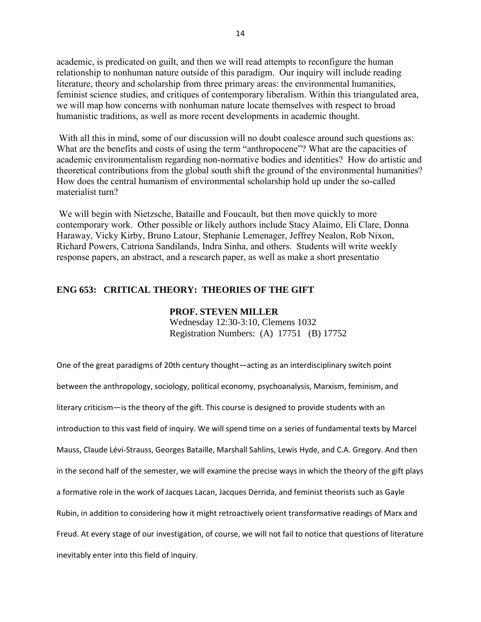academic, is predicated on guilt, and then we will read attempts to reconfigure the human relationship to nonhuman nature outside of this paradigm. Our inquiry will include reading literature, theory and scholarship from three primary areas: the environmental humanities, feminist science studies, and critiques of contemporary liberalism. Within this triangulated area, we will map how concerns with nonhuman nature locate themselves with respect to broad humanistic traditions, as well as more recent developments in academic thought.

With all this in mind, some of our discussion will no doubt coalesce around such questions as: What are the benefits and costs of using the term "anthropocene"? What are the capacities of academic environmentalism regarding non-normative bodies and identities? How do artistic and theoretical contributions from the global south shift the ground of the environmental humanities? How does the central humanism of environmental scholarship hold up under the so-called materialist turn?

We will begin with Nietzsche, Bataille and Foucault, but then move quickly to more contemporary work. Other possible or likely authors include Stacy Alaimo, Eli Clare, Donna Haraway, Vicky Kirby, Bruno Latour, Stephanie Lemenager, Jeffrey Nealon, Rob Nixon, Richard Powers, Catriona Sandilands, Indra Sinha, and others. Students will write weekly response papers, an abstract, and a research paper, as well as make a short presentatio

## **ENG 653: CRITICAL THEORY: THEORIES OF THE GIFT**

#### **PROF. STEVEN MILLER**

Wednesday 12:30-3:10, Clemens 1032 Registration Numbers: (A) 17751 (B) 17752

One of the great paradigms of 20th century thought—acting as an interdisciplinary switch point between the anthropology, sociology, political economy, psychoanalysis, Marxism, feminism, and literary criticism—is the theory of the gift. This course is designed to provide students with an introduction to this vast field of inquiry. We will spend time on a series of fundamental texts by Marcel Mauss, Claude Lévi-Strauss, Georges Bataille, Marshall Sahlins, Lewis Hyde, and C.A. Gregory. And then in the second half of the semester, we will examine the precise ways in which the theory of the gift plays a formative role in the work of Jacques Lacan, Jacques Derrida, and feminist theorists such as Gayle Rubin, in addition to considering how it might retroactively orient transformative readings of Marx and Freud. At every stage of our investigation, of course, we will not fail to notice that questions of literature inevitably enter into this field of inquiry.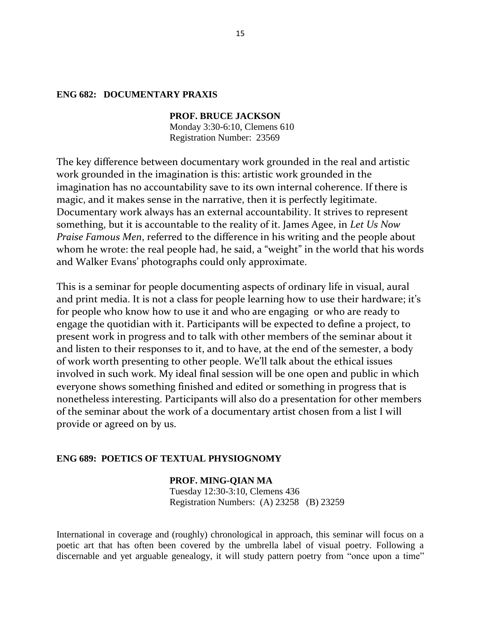### **ENG 682: DOCUMENTARY PRAXIS**

**PROF. BRUCE JACKSON** Monday 3:30-6:10, Clemens 610 Registration Number: 23569

The key difference between documentary work grounded in the real and artistic work grounded in the imagination is this: artistic work grounded in the imagination has no accountability save to its own internal coherence. If there is magic, and it makes sense in the narrative, then it is perfectly legitimate. Documentary work always has an external accountability. It strives to represent something, but it is accountable to the reality of it. James Agee, in *Let Us Now Praise Famous Men*, referred to the difference in his writing and the people about whom he wrote: the real people had, he said, a "weight" in the world that his words and Walker Evans' photographs could only approximate.

This is a seminar for people documenting aspects of ordinary life in visual, aural and print media. It is not a class for people learning how to use their hardware; it's for people who know how to use it and who are engaging or who are ready to engage the quotidian with it. Participants will be expected to define a project, to present work in progress and to talk with other members of the seminar about it and listen to their responses to it, and to have, at the end of the semester, a body of work worth presenting to other people. We'll talk about the ethical issues involved in such work. My ideal final session will be one open and public in which everyone shows something finished and edited or something in progress that is nonetheless interesting. Participants will also do a presentation for other members of the seminar about the work of a documentary artist chosen from a list I will provide or agreed on by us.

## **ENG 689: POETICS OF TEXTUAL PHYSIOGNOMY**

**PROF. MING-QIAN MA** Tuesday 12:30-3:10, Clemens 436 Registration Numbers: (A) 23258 (B) 23259

International in coverage and (roughly) chronological in approach, this seminar will focus on a poetic art that has often been covered by the umbrella label of visual poetry. Following a discernable and yet arguable genealogy, it will study pattern poetry from "once upon a time"